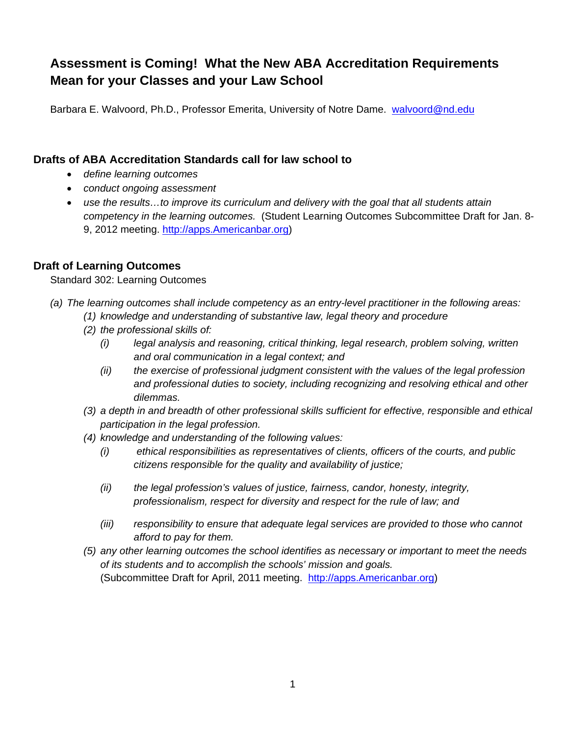# **Assessment is Coming! What the New ABA Accreditation Requirements Mean for your Classes and your Law School**

Barbara E. Walvoord, Ph.D., Professor Emerita, University of Notre Dame. walvoord@nd.edu

### **Drafts of ABA Accreditation Standards call for law school to**

- *define learning outcomes*
- *conduct ongoing assessment*
- *use the results…to improve its curriculum and delivery with the goal that all students attain competency in the learning outcomes.* (Student Learning Outcomes Subcommittee Draft for Jan. 8- 9, 2012 meeting. http://apps.Americanbar.org)

# **Draft of Learning Outcomes**

Standard 302: Learning Outcomes

- *(a) The learning outcomes shall include competency as an entry-level practitioner in the following areas:* 
	- *(1) knowledge and understanding of substantive law, legal theory and procedure*
	- *(2) the professional skills of:* 
		- *(i) legal analysis and reasoning, critical thinking, legal research, problem solving, written and oral communication in a legal context; and*
		- *(ii) the exercise of professional judgment consistent with the values of the legal profession and professional duties to society, including recognizing and resolving ethical and other dilemmas.*
	- *(3) a depth in and breadth of other professional skills sufficient for effective, responsible and ethical participation in the legal profession.*
	- *(4) knowledge and understanding of the following values:* 
		- *(i) ethical responsibilities as representatives of clients, officers of the courts, and public citizens responsible for the quality and availability of justice;*
		- *(ii) the legal profession's values of justice, fairness, candor, honesty, integrity, professionalism, respect for diversity and respect for the rule of law; and*
		- *(iii) responsibility to ensure that adequate legal services are provided to those who cannot afford to pay for them.*
	- *(5) any other learning outcomes the school identifies as necessary or important to meet the needs of its students and to accomplish the schools' mission and goals.*  (Subcommittee Draft for April, 2011 meeting. http://apps.Americanbar.org)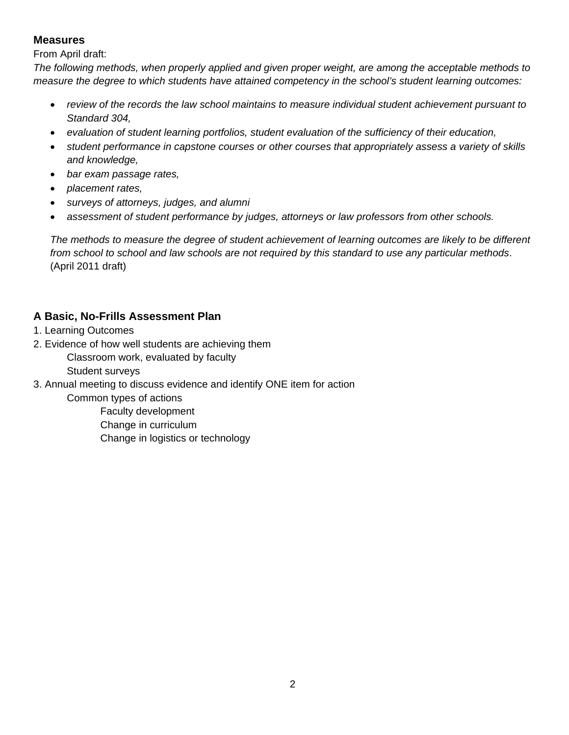### **Measures**

From April draft:

*The following methods, when properly applied and given proper weight, are among the acceptable methods to measure the degree to which students have attained competency in the school's student learning outcomes:* 

- *review of the records the law school maintains to measure individual student achievement pursuant to Standard 304,*
- *evaluation of student learning portfolios, student evaluation of the sufficiency of their education,*
- *student performance in capstone courses or other courses that appropriately assess a variety of skills and knowledge,*
- *bar exam passage rates,*
- *placement rates,*
- *surveys of attorneys, judges, and alumni*
- *assessment of student performance by judges, attorneys or law professors from other schools.*

*The methods to measure the degree of student achievement of learning outcomes are likely to be different from school to school and law schools are not required by this standard to use any particular methods*. (April 2011 draft)

# **A Basic, No-Frills Assessment Plan**

- 1. Learning Outcomes
- 2. Evidence of how well students are achieving them

Classroom work, evaluated by faculty

Student surveys

3. Annual meeting to discuss evidence and identify ONE item for action

Common types of actions

 Faculty development Change in curriculum Change in logistics or technology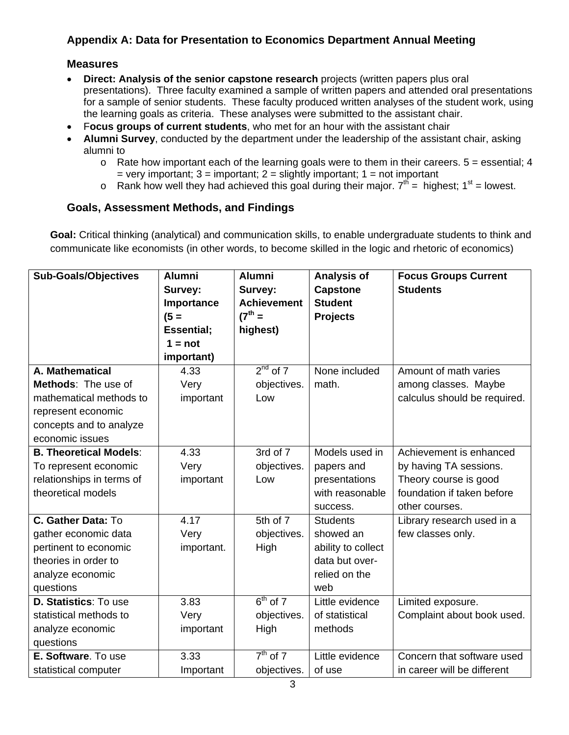# **Appendix A: Data for Presentation to Economics Department Annual Meeting**

#### **Measures**

- **Direct: Analysis of the senior capstone research** projects (written papers plus oral presentations). Three faculty examined a sample of written papers and attended oral presentations for a sample of senior students. These faculty produced written analyses of the student work, using the learning goals as criteria. These analyses were submitted to the assistant chair.
- F**ocus groups of current students**, who met for an hour with the assistant chair
- **Alumni Survey**, conducted by the department under the leadership of the assistant chair, asking alumni to
	- $\circ$  Rate how important each of the learning goals were to them in their careers.  $5 =$  essential; 4 = very important;  $3$  = important;  $2$  = slightly important;  $1$  = not important
	- o Rank how well they had achieved this goal during their major.  $7<sup>th</sup>$  = highest;  $1<sup>st</sup>$  = lowest.

#### **Goals, Assessment Methods, and Findings**

**Goal:** Critical thinking (analytical) and communication skills, to enable undergraduate students to think and communicate like economists (in other words, to become skilled in the logic and rhetoric of economics)

| <b>Sub-Goals/Objectives</b>   | <b>Alumni</b>      | <b>Alumni</b>      | Analysis of        | <b>Focus Groups Current</b>  |
|-------------------------------|--------------------|--------------------|--------------------|------------------------------|
|                               | Survey:            | Survey:            | <b>Capstone</b>    | <b>Students</b>              |
|                               | Importance         | <b>Achievement</b> | <b>Student</b>     |                              |
|                               | $(5 =$             | $(7^{th} =$        | <b>Projects</b>    |                              |
|                               | <b>Essential</b> ; | highest)           |                    |                              |
|                               | $1 = not$          |                    |                    |                              |
|                               | important)         |                    |                    |                              |
| A. Mathematical               | 4.33               | $2nd$ of $7$       | None included      | Amount of math varies        |
| Methods: The use of           | Very               | objectives.        | math.              | among classes. Maybe         |
| mathematical methods to       | important          | Low                |                    | calculus should be required. |
| represent economic            |                    |                    |                    |                              |
| concepts and to analyze       |                    |                    |                    |                              |
| economic issues               |                    |                    |                    |                              |
| <b>B. Theoretical Models:</b> | 4.33               | 3rd of 7           | Models used in     | Achievement is enhanced      |
| To represent economic         | Very               | objectives.        | papers and         | by having TA sessions.       |
| relationships in terms of     | important          | Low                | presentations      | Theory course is good        |
| theoretical models            |                    |                    | with reasonable    | foundation if taken before   |
|                               |                    |                    | success.           | other courses.               |
| C. Gather Data: To            | 4.17               | 5th of 7           | <b>Students</b>    | Library research used in a   |
| gather economic data          | Very               | objectives.        | showed an          | few classes only.            |
| pertinent to economic         | important.         | High               | ability to collect |                              |
| theories in order to          |                    |                    | data but over-     |                              |
| analyze economic              |                    |                    | relied on the      |                              |
| questions                     |                    |                    | web                |                              |
| D. Statistics: To use         | 3.83               | $6th$ of 7         | Little evidence    | Limited exposure.            |
| statistical methods to        | Very               | objectives.        | of statistical     | Complaint about book used.   |
| analyze economic              | important          | High               | methods            |                              |
| questions                     |                    |                    |                    |                              |
| E. Software. To use           | 3.33               | $7th$ of 7         | Little evidence    | Concern that software used   |
| statistical computer          | Important          | objectives.        | of use             | in career will be different  |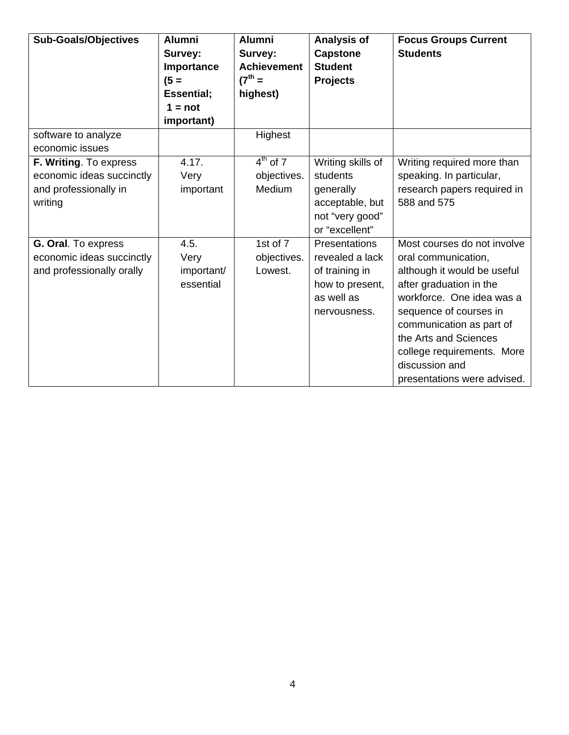| <b>Sub-Goals/Objectives</b>                                                             | <b>Alumni</b><br>Survey:<br>Importance<br>$(5 =$<br><b>Essential</b> ;<br>$1 = not$<br>important) | <b>Alumni</b><br>Survey:<br><b>Achievement</b><br>$(7^{th} =$<br>highest) | Analysis of<br><b>Capstone</b><br><b>Student</b><br><b>Projects</b>                                 | <b>Focus Groups Current</b><br><b>Students</b>                                                                                                                                                                                                                                                          |
|-----------------------------------------------------------------------------------------|---------------------------------------------------------------------------------------------------|---------------------------------------------------------------------------|-----------------------------------------------------------------------------------------------------|---------------------------------------------------------------------------------------------------------------------------------------------------------------------------------------------------------------------------------------------------------------------------------------------------------|
| software to analyze<br>economic issues                                                  |                                                                                                   | Highest                                                                   |                                                                                                     |                                                                                                                                                                                                                                                                                                         |
| F. Writing. To express<br>economic ideas succinctly<br>and professionally in<br>writing | 4.17.<br>Very<br>important                                                                        | $4^{th}$ of 7<br>objectives.<br>Medium                                    | Writing skills of<br>students<br>generally<br>acceptable, but<br>not "very good"<br>or "excellent"  | Writing required more than<br>speaking. In particular,<br>research papers required in<br>588 and 575                                                                                                                                                                                                    |
| G. Oral. To express<br>economic ideas succinctly<br>and professionally orally           | 4.5.<br>Very<br>important/<br>essential                                                           | 1st of $\overline{7}$<br>objectives.<br>Lowest.                           | Presentations<br>revealed a lack<br>of training in<br>how to present,<br>as well as<br>nervousness. | Most courses do not involve<br>oral communication,<br>although it would be useful<br>after graduation in the<br>workforce. One idea was a<br>sequence of courses in<br>communication as part of<br>the Arts and Sciences<br>college requirements. More<br>discussion and<br>presentations were advised. |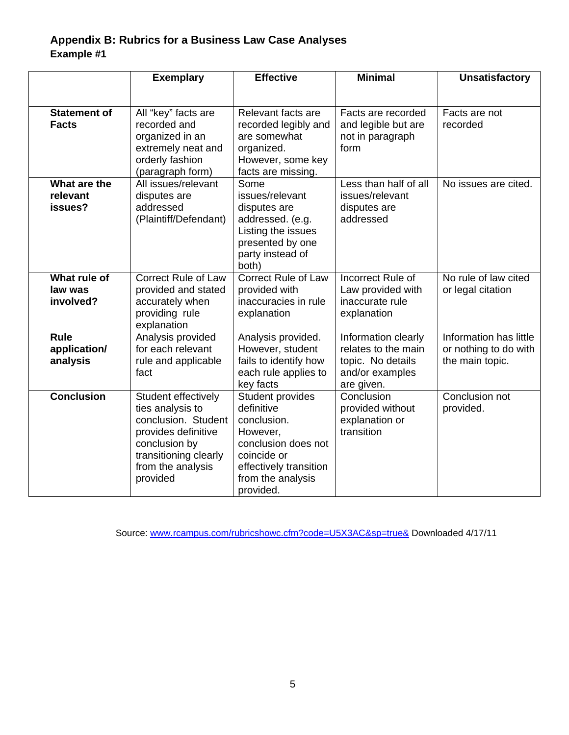# **Appendix B: Rubrics for a Business Law Case Analyses Example #1**

|                                         | <b>Exemplary</b>                                                                                                                                                 | <b>Effective</b>                                                                                                                                            |                                                                                                  | <b>Unsatisfactory</b>                                              |  |
|-----------------------------------------|------------------------------------------------------------------------------------------------------------------------------------------------------------------|-------------------------------------------------------------------------------------------------------------------------------------------------------------|--------------------------------------------------------------------------------------------------|--------------------------------------------------------------------|--|
|                                         |                                                                                                                                                                  |                                                                                                                                                             |                                                                                                  |                                                                    |  |
| <b>Statement of</b><br><b>Facts</b>     | All "key" facts are<br>recorded and<br>organized in an<br>extremely neat and<br>orderly fashion<br>(paragraph form)                                              | Relevant facts are<br>recorded legibly and<br>are somewhat<br>organized.<br>However, some key<br>facts are missing.                                         | Facts are recorded<br>and legible but are<br>not in paragraph<br>form                            | Facts are not<br>recorded                                          |  |
| What are the<br>relevant<br>issues?     | All issues/relevant<br>disputes are<br>addressed<br>(Plaintiff/Defendant)                                                                                        | Some<br>issues/relevant<br>disputes are<br>addressed. (e.g.<br>Listing the issues<br>presented by one<br>party instead of<br>both)                          | Less than half of all<br>issues/relevant<br>disputes are<br>addressed                            | No issues are cited.                                               |  |
| What rule of<br>law was<br>involved?    | <b>Correct Rule of Law</b><br>provided and stated<br>accurately when<br>providing rule<br>explanation                                                            | <b>Correct Rule of Law</b><br>provided with<br>inaccuracies in rule<br>explanation                                                                          | Incorrect Rule of<br>Law provided with<br>inaccurate rule<br>explanation                         | No rule of law cited<br>or legal citation                          |  |
| <b>Rule</b><br>application/<br>analysis | Analysis provided<br>for each relevant<br>rule and applicable<br>fact                                                                                            | Analysis provided.<br>However, student<br>fails to identify how<br>each rule applies to<br>key facts                                                        | Information clearly<br>relates to the main<br>topic. No details<br>and/or examples<br>are given. | Information has little<br>or nothing to do with<br>the main topic. |  |
| <b>Conclusion</b>                       | Student effectively<br>ties analysis to<br>conclusion. Student<br>provides definitive<br>conclusion by<br>transitioning clearly<br>from the analysis<br>provided | Student provides<br>definitive<br>conclusion.<br>However,<br>conclusion does not<br>coincide or<br>effectively transition<br>from the analysis<br>provided. | Conclusion<br>provided without<br>explanation or<br>transition                                   | Conclusion not<br>provided.                                        |  |

Source: www.rcampus.com/rubricshowc.cfm?code=U5X3AC&sp=true& Downloaded 4/17/11